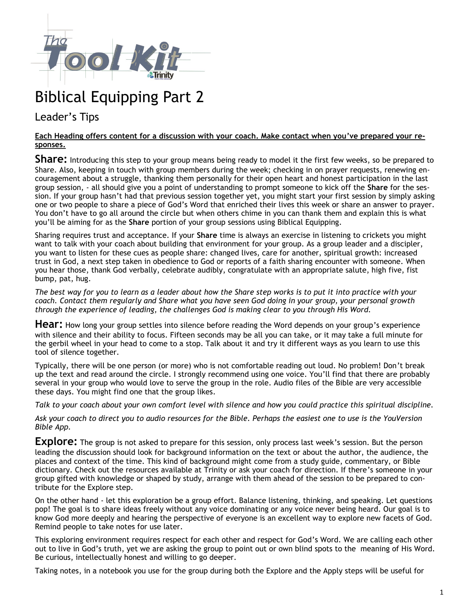

## Biblical Equipping Part 2

## Leader's Tips

## **Each Heading offers content for a discussion with your coach. Make contact when you've prepared your responses.**

**Share:** Introducing this step to your group means being ready to model it the first few weeks, so be prepared to Share. Also, keeping in touch with group members during the week; checking in on prayer requests, renewing encouragement about a struggle, thanking them personally for their open heart and honest participation in the last group session, - all should give you a point of understanding to prompt someone to kick off the **Share** for the session. If your group hasn't had that previous session together yet, you might start your first session by simply asking one or two people to share a piece of God's Word that enriched their lives this week or share an answer to prayer. You don't have to go all around the circle but when others chime in you can thank them and explain this is what you'll be aiming for as the **Share** portion of your group sessions using Biblical Equipping.

Sharing requires trust and acceptance. If your **Share** time is always an exercise in listening to crickets you might want to talk with your coach about building that environment for your group. As a group leader and a discipler, you want to listen for these cues as people share: changed lives, care for another, spiritual growth: increased trust in God, a next step taken in obedience to God or reports of a faith sharing encounter with someone. When you hear those, thank God verbally, celebrate audibly, congratulate with an appropriate salute, high five, fist bump, pat, hug.

*The best way for you to learn as a leader about how the Share step works is to put it into practice with your coach. Contact them regularly and Share what you have seen God doing in your group, your personal growth through the experience of leading, the challenges God is making clear to you through His Word.*

**Hear:** How long your group settles into silence before reading the Word depends on your group's experience with silence and their ability to focus. Fifteen seconds may be all you can take, or it may take a full minute for the gerbil wheel in your head to come to a stop. Talk about it and try it different ways as you learn to use this tool of silence together.

Typically, there will be one person (or more) who is not comfortable reading out loud. No problem! Don't break up the text and read around the circle. I strongly recommend using one voice. You'll find that there are probably several in your group who would love to serve the group in the role. Audio files of the Bible are very accessible these days. You might find one that the group likes.

*Talk to your coach about your own comfort level with silence and how you could practice this spiritual discipline.* 

*Ask your coach to direct you to audio resources for the Bible. Perhaps the easiest one to use is the YouVersion Bible App.*

**Explore:** The group is not asked to prepare for this session, only process last week's session. But the person leading the discussion should look for background information on the text or about the author, the audience, the places and context of the time. This kind of background might come from a study guide, commentary, or Bible dictionary. Check out the resources available at Trinity or ask your coach for direction. If there's someone in your group gifted with knowledge or shaped by study, arrange with them ahead of the session to be prepared to contribute for the Explore step.

On the other hand - let this exploration be a group effort. Balance listening, thinking, and speaking. Let questions pop! The goal is to share ideas freely without any voice dominating or any voice never being heard. Our goal is to know God more deeply and hearing the perspective of everyone is an excellent way to explore new facets of God. Remind people to take notes for use later.

This exploring environment requires respect for each other and respect for God's Word. We are calling each other out to live in God's truth, yet we are asking the group to point out or own blind spots to the meaning of His Word. Be curious, intellectually honest and willing to go deeper.

Taking notes, in a notebook you use for the group during both the Explore and the Apply steps will be useful for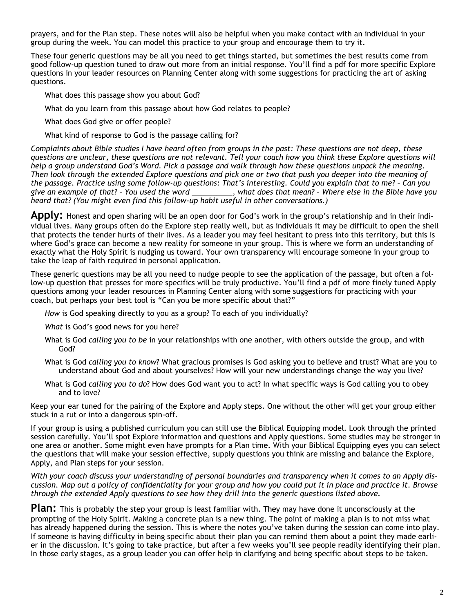prayers, and for the Plan step. These notes will also be helpful when you make contact with an individual in your group during the week. You can model this practice to your group and encourage them to try it.

These four generic questions may be all you need to get things started, but sometimes the best results come from good follow-up question tuned to draw out more from an initial response. You'll find a pdf for more specific Explore questions in your leader resources on Planning Center along with some suggestions for practicing the art of asking questions.

What does this passage show you about God?

What do you learn from this passage about how God relates to people?

What does God give or offer people?

What kind of response to God is the passage calling for?

*Complaints about Bible studies I have heard often from groups in the past: These questions are not deep, these questions are unclear, these questions are not relevant. Tell your coach how you think these Explore questions will help a group understand God's Word. Pick a passage and walk through how these questions unpack the meaning. Then look through the extended Explore questions and pick one or two that push you deeper into the meaning of the passage. Practice using some follow-up questions: That's interesting. Could you explain that to me? – Can you give an example of that? – You used the word \_\_\_\_\_\_\_\_\_\_, what does that mean? – Where else in the Bible have you heard that? (You might even find this follow-up habit useful in other conversations.)*

**Apply:** Honest and open sharing will be an open door for God's work in the group's relationship and in their individual lives. Many groups often do the Explore step really well, but as individuals it may be difficult to open the shell that protects the tender hurts of their lives. As a leader you may feel hesitant to press into this territory, but this is where God's grace can become a new reality for someone in your group. This is where we form an understanding of exactly what the Holy Spirit is nudging us toward. Your own transparency will encourage someone in your group to take the leap of faith required in personal application.

These generic questions may be all you need to nudge people to see the application of the passage, but often a follow-up question that presses for more specifics will be truly productive. You'll find a pdf of more finely tuned Apply questions among your leader resources in Planning Center along with some suggestions for practicing with your coach, but perhaps your best tool is "Can you be more specific about that?"

*How* is God speaking directly to you as a group? To each of you individually?

*What* is God's good news for you here?

- What is God *calling you to be* in your relationships with one another, with others outside the group, and with God?
- What is God *calling you to know*? What gracious promises is God asking you to believe and trust? What are you to understand about God and about yourselves? How will your new understandings change the way you live?
- What is God *calling you to do*? How does God want you to act? In what specific ways is God calling you to obey and to love?

Keep your ear tuned for the pairing of the Explore and Apply steps. One without the other will get your group either stuck in a rut or into a dangerous spin-off.

If your group is using a published curriculum you can still use the Biblical Equipping model. Look through the printed session carefully. You'll spot Explore information and questions and Apply questions. Some studies may be stronger in one area or another. Some might even have prompts for a Plan time. With your Biblical Equipping eyes you can select the questions that will make your session effective, supply questions you think are missing and balance the Explore, Apply, and Plan steps for your session.

*With your coach discuss your understanding of personal boundaries and transparency when it comes to an Apply discussion. Map out a policy of confidentiality for your group and how you could put it in place and practice it. Browse through the extended Apply questions to see how they drill into the generic questions listed above.* 

**Plan:** This is probably the step your group is least familiar with. They may have done it unconsciously at the prompting of the Holy Spirit. Making a concrete plan is a new thing. The point of making a plan is to not miss what has already happened during the session. This is where the notes you've taken during the session can come into play. If someone is having difficulty in being specific about their plan you can remind them about a point they made earlier in the discussion. It's going to take practice, but after a few weeks you'll see people readily identifying their plan. In those early stages, as a group leader you can offer help in clarifying and being specific about steps to be taken.